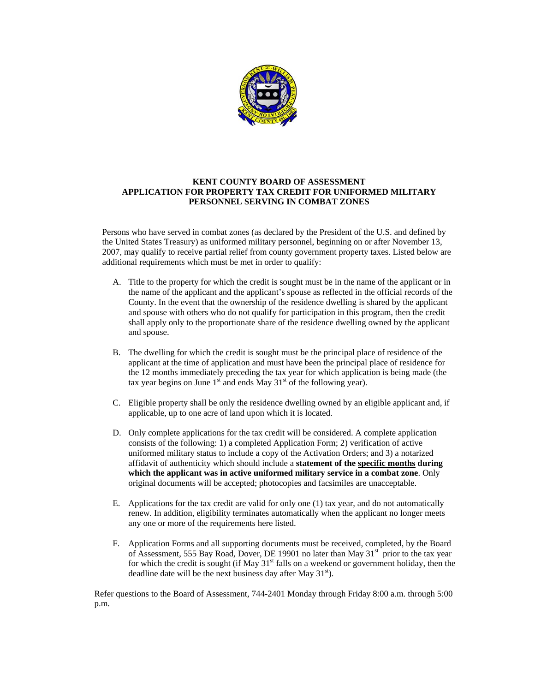

## **KENT COUNTY BOARD OF ASSESSMENT APPLICATION FOR PROPERTY TAX CREDIT FOR UNIFORMED MILITARY PERSONNEL SERVING IN COMBAT ZONES**

Persons who have served in combat zones (as declared by the President of the U.S. and defined by the United States Treasury) as uniformed military personnel, beginning on or after November 13, 2007, may qualify to receive partial relief from county government property taxes. Listed below are additional requirements which must be met in order to qualify:

- A. Title to the property for which the credit is sought must be in the name of the applicant or in the name of the applicant and the applicant's spouse as reflected in the official records of the County. In the event that the ownership of the residence dwelling is shared by the applicant and spouse with others who do not qualify for participation in this program, then the credit shall apply only to the proportionate share of the residence dwelling owned by the applicant and spouse.
- B. The dwelling for which the credit is sought must be the principal place of residence of the applicant at the time of application and must have been the principal place of residence for the 12 months immediately preceding the tax year for which application is being made (the tax year begins on June  $1<sup>st</sup>$  and ends May  $31<sup>st</sup>$  of the following year).
- C. Eligible property shall be only the residence dwelling owned by an eligible applicant and, if applicable, up to one acre of land upon which it is located.
- D. Only complete applications for the tax credit will be considered. A complete application consists of the following: 1) a completed Application Form; 2) verification of active uniformed military status to include a copy of the Activation Orders; and 3) a notarized affidavit of authenticity which should include a **statement of the specific months during which the applicant was in active uniformed military service in a combat zone**. Only original documents will be accepted; photocopies and facsimiles are unacceptable.
- E. Applications for the tax credit are valid for only one (1) tax year, and do not automatically renew. In addition, eligibility terminates automatically when the applicant no longer meets any one or more of the requirements here listed.
- F. Application Forms and all supporting documents must be received, completed, by the Board of Assessment, 555 Bay Road, Dover, DE 19901 no later than May 31<sup>st</sup> prior to the tax year for which the credit is sought (if May  $31<sup>st</sup>$  falls on a weekend or government holiday, then the deadline date will be the next business day after May  $31<sup>st</sup>$ ).

Refer questions to the Board of Assessment, 744-2401 Monday through Friday 8:00 a.m. through 5:00 p.m.